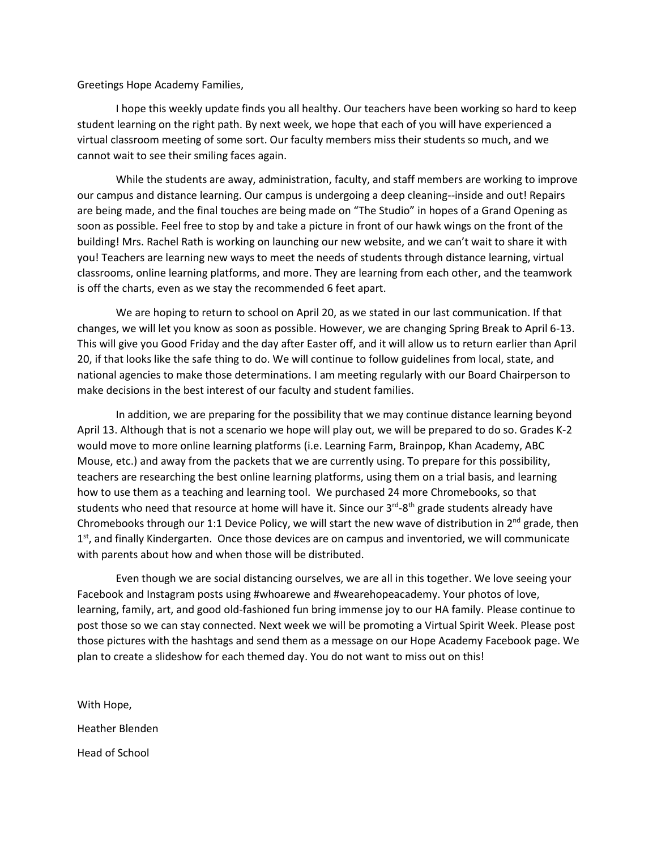Greetings Hope Academy Families,

I hope this weekly update finds you all healthy. Our teachers have been working so hard to keep student learning on the right path. By next week, we hope that each of you will have experienced a virtual classroom meeting of some sort. Our faculty members miss their students so much, and we cannot wait to see their smiling faces again.

While the students are away, administration, faculty, and staff members are working to improve our campus and distance learning. Our campus is undergoing a deep cleaning--inside and out! Repairs are being made, and the final touches are being made on "The Studio" in hopes of a Grand Opening as soon as possible. Feel free to stop by and take a picture in front of our hawk wings on the front of the building! Mrs. Rachel Rath is working on launching our new website, and we can't wait to share it with you! Teachers are learning new ways to meet the needs of students through distance learning, virtual classrooms, online learning platforms, and more. They are learning from each other, and the teamwork is off the charts, even as we stay the recommended 6 feet apart.

We are hoping to return to school on April 20, as we stated in our last communication. If that changes, we will let you know as soon as possible. However, we are changing Spring Break to April 6-13. This will give you Good Friday and the day after Easter off, and it will allow us to return earlier than April 20, if that looks like the safe thing to do. We will continue to follow guidelines from local, state, and national agencies to make those determinations. I am meeting regularly with our Board Chairperson to make decisions in the best interest of our faculty and student families.

In addition, we are preparing for the possibility that we may continue distance learning beyond April 13. Although that is not a scenario we hope will play out, we will be prepared to do so. Grades K-2 would move to more online learning platforms (i.e. Learning Farm, Brainpop, Khan Academy, ABC Mouse, etc.) and away from the packets that we are currently using. To prepare for this possibility, teachers are researching the best online learning platforms, using them on a trial basis, and learning how to use them as a teaching and learning tool. We purchased 24 more Chromebooks, so that students who need that resource at home will have it. Since our 3<sup>rd</sup>-8<sup>th</sup> grade students already have Chromebooks through our 1:1 Device Policy, we will start the new wave of distribution in  $2^{nd}$  grade, then 1<sup>st</sup>, and finally Kindergarten. Once those devices are on campus and inventoried, we will communicate with parents about how and when those will be distributed.

Even though we are social distancing ourselves, we are all in this together. We love seeing your Facebook and Instagram posts using #whoarewe and #wearehopeacademy. Your photos of love, learning, family, art, and good old-fashioned fun bring immense joy to our HA family. Please continue to post those so we can stay connected. Next week we will be promoting a Virtual Spirit Week. Please post those pictures with the hashtags and send them as a message on our Hope Academy Facebook page. We plan to create a slideshow for each themed day. You do not want to miss out on this!

With Hope, Heather Blenden Head of School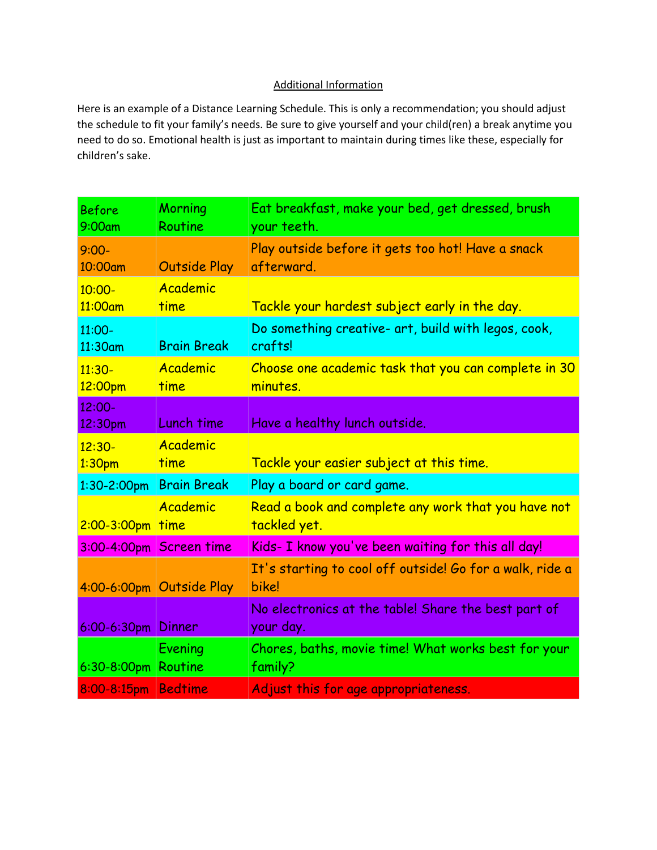## Additional Information

Here is an example of a Distance Learning Schedule. This is only a recommendation; you should adjust the schedule to fit your family's needs. Be sure to give yourself and your child(ren) a break anytime you need to do so. Emotional health is just as important to maintain during times like these, especially for children's sake.

| <b>Before</b><br>9:00am | Morning<br>Routine       | Eat breakfast, make your bed, get dressed, brush<br>your teeth.     |
|-------------------------|--------------------------|---------------------------------------------------------------------|
| $9:00-$<br>10:00am      | <b>Outside Play</b>      | Play outside before it gets too hot! Have a snack<br>afterward.     |
| $10:00 -$<br>11:00am    | Academic<br>time         | Tackle your hardest subject early in the day.                       |
| 11:00-<br>11:30am       | <b>Brain Break</b>       | Do something creative- art, build with legos, cook,<br>crafts!      |
| $11:30-$<br>12:00pm     | Academic<br>time         | Choose one academic task that you can complete in 30<br>minutes.    |
| $12:00 -$<br>12:30pm    | Lunch time               | Have a healthy lunch outside.                                       |
| $12:30-$<br>1:30pm      | Academic<br>time         | Tackle your easier subject at this time.                            |
| $1:30-2:00$ pm          | <b>Brain Break</b>       | Play a board or card game.                                          |
| $2:00-3:00$ pm          | Academic<br>time         | Read a book and complete any work that you have not<br>tackled yet. |
|                         | 3:00-4:00pm Screen time  | Kids- I know you've been waiting for this all day!                  |
|                         | 4:00-6:00pm Outside Play | It's starting to cool off outside! Go for a walk, ride a<br>bike!   |
| 6:00-6:30pm Dinner      |                          | No electronics at the table! Share the best part of<br>your day.    |
| $6:30-8:00$ pm          | Evening<br>Routine       | Chores, baths, movie time! What works best for your<br>family?      |
| 8:00-8:15pm             | <b>Bedtime</b>           | Adjust this for age appropriateness.                                |